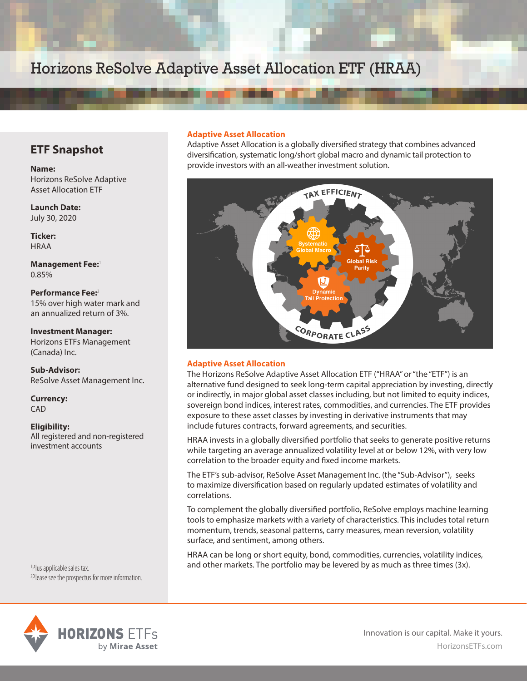## Horizons ReSolve Adaptive Asset Allocation ETF (HRAA)

### **ETF Snapshot**

**Name:**  Horizons ReSolve Adaptive Asset Allocation ETF

**Launch Date:**  July 30, 2020

**Ticker:**  HRAA

**Management Fee:**<sup>1</sup> 0.85%

**Performance Fee:**<sup>2</sup> 15% over high water mark and an annualized return of 3%.

**Investment Manager:**  Horizons ETFs Management (Canada) Inc.

**Sub-Advisor:** ReSolve Asset Management Inc.

**Currency:**  CAD

#### **Eligibility:**

All registered and non-registered investment accounts

1 Plus applicable sales tax. 2 Please see the prospectus for more information.

# **HORIZONS ETFs** by Mirae Asset

#### **Adaptive Asset Allocation**

Adaptive Asset Allocation is a globally diversified strategy that combines advanced diversification, systematic long/short global macro and dynamic tail protection to provide investors with an all-weather investment solution.



#### **Adaptive Asset Allocation**

The Horizons ReSolve Adaptive Asset Allocation ETF ("HRAA" or "the "ETF") is an alternative fund designed to seek long-term capital appreciation by investing, directly or indirectly, in major global asset classes including, but not limited to equity indices, sovereign bond indices, interest rates, commodities, and currencies. The ETF provides exposure to these asset classes by investing in derivative instruments that may include futures contracts, forward agreements, and securities.

HRAA invests in a globally diversified portfolio that seeks to generate positive returns while targeting an average annualized volatility level at or below 12%, with very low correlation to the broader equity and fixed income markets.

The ETF's sub-advisor, ReSolve Asset Management Inc. (the "Sub-Advisor"), seeks to maximize diversification based on regularly updated estimates of volatility and correlations.

To complement the globally diversified portfolio, ReSolve employs machine learning tools to emphasize markets with a variety of characteristics. This includes total return momentum, trends, seasonal patterns, carry measures, mean reversion, volatility surface, and sentiment, among others.

HRAA can be long or short equity, bond, commodities, currencies, volatility indices, and other markets. The portfolio may be levered by as much as three times (3x).

> HorizonsETFs.com Innovation is our capital. Make it yours.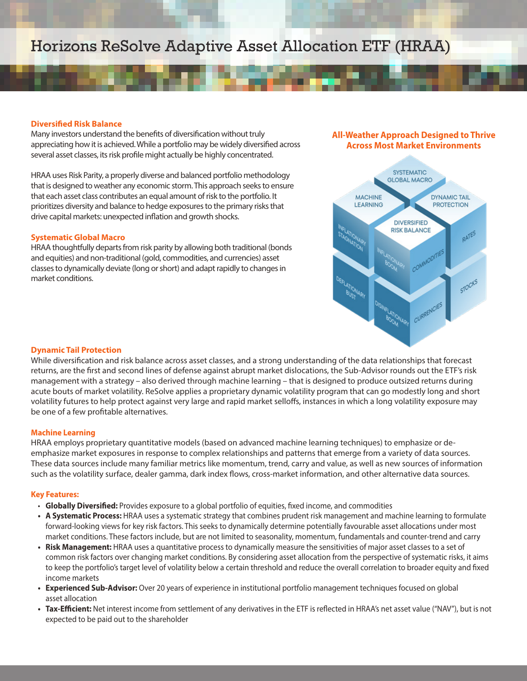## Horizons ReSolve Adaptive Asset Allocation ETF (HRAA)

#### **Diversified Risk Balance**

Many investors understand the benefits of diversification without truly appreciating how it is achieved. While a portfolio may be widely diversified across several asset classes, its risk profile might actually be highly concentrated.

HRAA uses Risk Parity, a properly diverse and balanced portfolio methodology that is designed to weather any economic storm. This approach seeks to ensure that each asset class contributes an equal amount of risk to the portfolio. It prioritizes diversity and balance to hedge exposures to the primary risks that drive capital markets: unexpected inflation and growth shocks.

#### **Systematic Global Macro**

HRAA thoughtfully departs from risk parity by allowing both traditional (bonds and equities) and non-traditional (gold, commodities, and currencies) asset classes to dynamically deviate (long or short) and adapt rapidly to changes in market conditions.

#### **All-Weather Approach Designed to Thrive Across Most Market Environments**



#### **Dynamic Tail Protection**

While diversification and risk balance across asset classes, and a strong understanding of the data relationships that forecast returns, are the first and second lines of defense against abrupt market dislocations, the Sub-Advisor rounds out the ETF's risk management with a strategy – also derived through machine learning – that is designed to produce outsized returns during acute bouts of market volatility. ReSolve applies a proprietary dynamic volatility program that can go modestly long and short volatility futures to help protect against very large and rapid market selloffs, instances in which a long volatility exposure may be one of a few profitable alternatives.

#### **Machine Learning**

HRAA employs proprietary quantitative models (based on advanced machine learning techniques) to emphasize or deemphasize market exposures in response to complex relationships and patterns that emerge from a variety of data sources. These data sources include many familiar metrics like momentum, trend, carry and value, as well as new sources of information such as the volatility surface, dealer gamma, dark index flows, cross-market information, and other alternative data sources.

#### **Key Features:**

- **Globally Diversified:** Provides exposure to a global portfolio of equities, fixed income, and commodities
- **• A Systematic Process:** HRAA uses a systematic strategy that combines prudent risk management and machine learning to formulate forward-looking views for key risk factors. This seeks to dynamically determine potentially favourable asset allocations under most market conditions. These factors include, but are not limited to seasonality, momentum, fundamentals and counter-trend and carry
- **• Risk Management:** HRAA uses a quantitative process to dynamically measure the sensitivities of major asset classes to a set of common risk factors over changing market conditions. By considering asset allocation from the perspective of systematic risks, it aims to keep the portfolio's target level of volatility below a certain threshold and reduce the overall correlation to broader equity and fixed income markets
- **• Experienced Sub-Advisor:** Over 20 years of experience in institutional portfolio management techniques focused on global asset allocation
- **• Tax-Efficient:** Net interest income from settlement of any derivatives in the ETF is reflected in HRAA's net asset value ("NAV"), but is not expected to be paid out to the shareholder